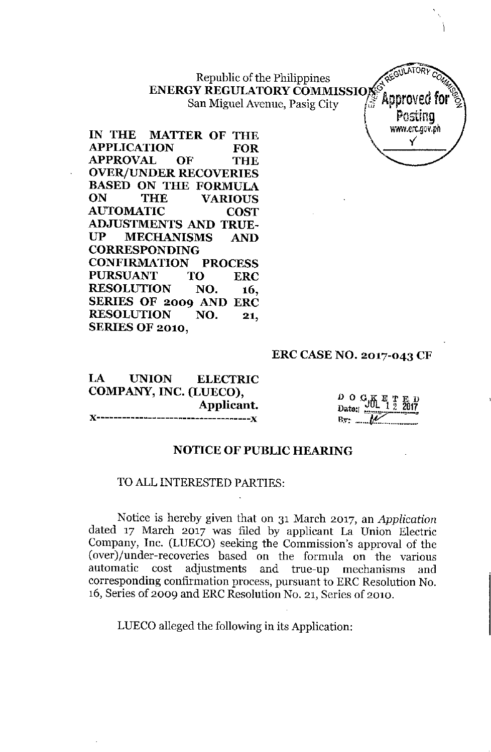Republic of the Philippines  $\sqrt{x}e^{\xi}$  $\textbf{ENERGY}\ \textbf{REGULATIONY}\ \textbf{COMMISSIO}$ San Miguel Avenue, Pasig City (1) Approved for  $\frac{2}{3}$ 

REGULATORY Postina wi/W.erc.gov,ph y

**IN THE MATTER OF THE APPLICATION FOR APPROVAL OF THE OVER/UNDER RECOVERIES BASED ON THE FORMULA ON THE VARIOUS AUTOMATIC COST ADJUSTMENTS AND TRUE-UP MECHANISMS AND CORRESPONDING CONFIRMATION PROCESS PURSUANT TO ERC RESOLUTION NO. 16, SERIES OF 2009 AND ERC RESOLUTION NO. 21, SERIES OF 2010,**

### **ERC CASE NO. 2017-043 CF**

LA **UNION ELECTRIC COMPANY, INC. (LUECO), Applicant. )(------------------------------------J(**

 $D$  O  $C_{i}$  $K_{i}$  E T Date: **JUL 1 2 2017 B:v:- , ~ -.. \_\_.•. \_.**

### **NOTICE OF PUBLIC HEARING**

# TO ALL INTERESTED PARTIES:

Notice is hereby given that on 31 March 2017, an *Application* dated 17 March 2017 was filed by applicant La Union Electric Company, Inc. (LUECO) seeking the Commission's approval of the (over)/under-recoveries based on the formula on the various automatic cost adjustments and true-up mechanisms and corresponding confirmation process, pursuant to ERC Resolution No. 16, Series of 2009 and ERC Resolution No. 21, Series of 2010.

LUECO alleged the following in its Application: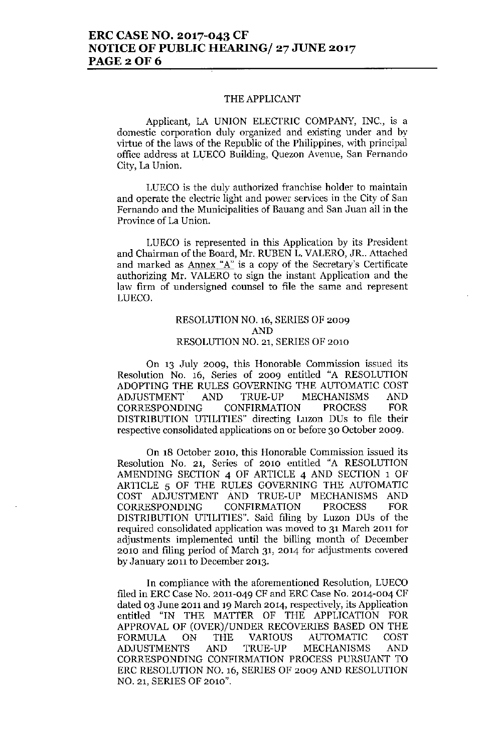# **ERC CASE NO. 2017-043 CF NOTICE OF PUBLIC HEARING/ 27 JUNE 2017 PAGE20F6**

#### THE APPLICANT

Applicant, LA UNION ELECTRIC COMPANY, INC., is a **domestic corporation duly organized and existing under and by** virtue of the laws of the Republic of the Philippines, with principal **office address at LUECa Building, Quezon Avenue, San Fernando** City, La Union.

**LUEca is the duly authorized franchise holder to maintain and operate the electric light and power services in the City of San Fernando and the Municipalities of Bauang and San Juan all in the Province of La Union.**

**LUEca is represented in this Application by its President** and Chairman of the Board, Mr. RUBEN L. VALERO, JR.. Attached **and marked as Annex "A"is a copy of the Secretary's Certificate** authorizing Mr. VALERO to sign the instant Application and the **law firm of undersigned counsel to file the same and represent** LUECO.

### RESOLUTION NO. 16, SERIES OF 2009 AND RESOLUTION NO. 21, SERIES OF 2010

**On 13 July 2009, this Honorable Commission issued its** Resolution No. 16, Series of 2009 entitled "A RESOLUTION ADOPTING THE RULES GOVERNING THE AUTOMATIC COST ADJUSTMENT AND TRUE-UP MECHANISMS AND CORRESPONDING CONFIRMATION PROCESS FOR DISTRIBUTION UTILITIES" directing Luzon DUs to file their **respective consolidated applications on or before 30 October 2009.**

**On 18 October 2010, this Honorable Commission issued its** Resolution No. 21, Series of 2010 entitled "A RESOLUTION AMENDING SECTION 4 OF ARTICLE 4 AND SECTION 1 OF ARTICLE 5 OF THE RULES GOVERNING THE AUTOMATIC COST ADJUSTMENT AND TRUE-UP MECHANISMS AND CORRESPONDING CONFIRMATION PROCESS FOR DISTRIBUTION UTILITIES". Said filing by Luzon DUs of the **required consolidated application was moved to 31 March 2011 for adjustments implemented until the billing month of December 2010 and filing period of March 31, 2014 for adjustments covered by January 2011 to December 2013.**

In compliance with the aforementioned Resolution, LUECO filed in ERC Case No. 2011-049 CF and ERC Case No. 2014-004 CF **dated 03 June 2011 and 19 March 2014, respectively, its Application** entitled "IN THE MATTER OF THE APPLICATION FOR APPROVAL OF (OVER)/UNDER RECOVERIES BASED ON THE FORMULA ON THE VARIOUS AUTOMATIC COST ADJUSTMENTS AND TRUE-UP MECHANISMS AND CORRESPONDING CONFIRMATION PROCESS PURSUANT TO ERC RESOLUTION NO. 16, SERIES OF 2009 AND RESOLUTION NO. 21, SERIES OF 2010".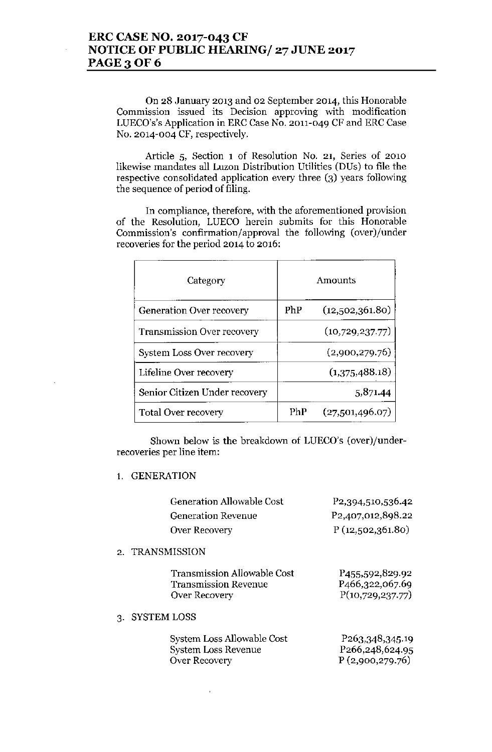On 28 January 2013 and 02 September 2014, this Honorable Commission issued its Decision approving with modification LUECO's'sApplication in ERC Case No. 2011-049 CF and ERC Case No. 2014-004 CF, respectively.

Article 5, Section 1 of Resolution No. 21, Series of 2010 likewise mandates all Luzon Distribution Utilities (DUs) to file the respective consolidated application every three (3) years following the sequence of period of filing.

In compliance, therefore, with the aforementioned provision of the Resolution, LUECO herein submits for this Honorable Commission's confirmation/approval the following (over)/under recoveries for the period 2014 to 2016:

| Category                         | Amounts |                 |  |
|----------------------------------|---------|-----------------|--|
| <b>Generation Over recovery</b>  | PhP     | (12,502,361.80) |  |
| Transmission Over recovery       |         | (10,729,237.77) |  |
| <b>System Loss Over recovery</b> |         | (2,900,279.76)  |  |
| Lifeline Over recovery           |         | (1,375,488.18)  |  |
| Senior Citizen Under recovery    |         | 5,871.44        |  |
| <b>Total Over recovery</b>       | PhP     | (27,501,496.07) |  |

Shown below is the breakdown of LUECO's (over)/underrecoveries per line item:

### 1. GENERATION

| Generation Allowable Cost | P <sub>2</sub> , 394, 510, 536. 42 |
|---------------------------|------------------------------------|
| <b>Generation Revenue</b> | P <sub>2</sub> ,407,012,898.22     |
| Over Recovery             | P(12,502,361.80)                   |
| 2. TRANSMISSION           |                                    |

| <b>Transmission Allowable Cost</b> | P455,592,829.92                |
|------------------------------------|--------------------------------|
| <b>Transmission Revenue</b>        | P <sub>466</sub> , 322, 067.69 |
| Over Recovery                      | P(10,729,237.77)               |

### 3. SYSTEM LOSS

| System Loss Allowable Cost | P <sub>263</sub> , 348, 345. 19 |
|----------------------------|---------------------------------|
| System Loss Revenue        | P <sub>266</sub> , 248, 624. 95 |
| Over Recovery              | P(2,900,279.76)                 |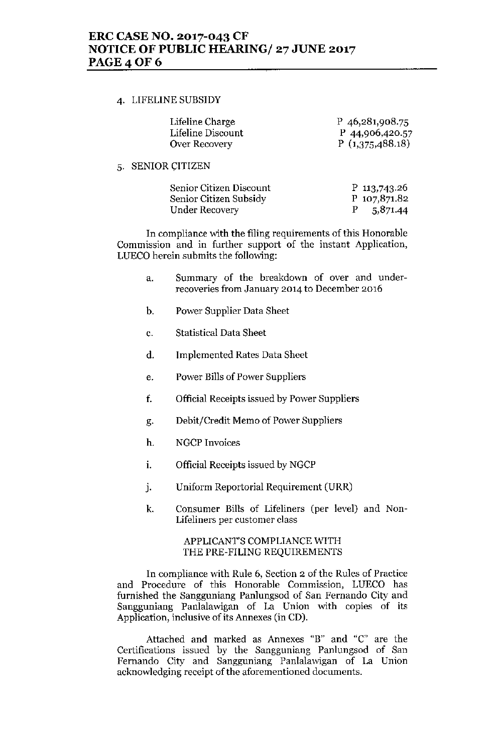# ERC CASE NO. 2017-043 CF NOTICE OF PUBLIC HEARING/ 27 JUNE 2017 **PAGE 4 OF 6**

### 4. LIFELINE SUBSIDY

| Lifeline Charge   | P 46,281,908.75 |
|-------------------|-----------------|
| Lifeline Discount | P 44,906,420.57 |
| Over Recovery     | P(1,375,488.18) |

### 5. SENIOR CITIZEN

| Senior Citizen Discount | P 113,743.26 |
|-------------------------|--------------|
| Senior Citizen Subsidy  | P 107,871.82 |
| Under Recovery          | 5,871.44     |

In compliance vvith the filing requirements of this Honorable Commission and in further support of the instant Application, LUECO herein submits the following:

- a. Summary of the breakdown of over and underrecoveries from January 2014 to December 2016
- b. Power Supplier Data Sheet
- c. Statistical Data Sheet
- d. Implemented Rates Data Sheet
- e. Power Bills of Power Suppliers
- f. Official Receipts issued by Power Suppliers
- g. Debit/Credit Memo of Power Suppliers
- h. NGCP Invoices
- i. Official Receipts issued by NGCP
- j. Uniform Reportorial Requirement (URR)
- k. Consumer Bills of Lifeliners (per level) and Non-Lifeliners per customer class

### APPLICANT'S COMPLIANCE WITH THE PRE-FILING REQUIREMENTS

In compliance with Rule 6, Section 2 of the Rules of Practice and Procedure of this Honorable Commission, LUECO has furnished the Sangguniang Panlungsod of San Fernando City and Sangguniang Panlalawigan of La Union with copies of its Application, inclusive of its Annexes (in CD).

Attached and marked as Annexes "B" and "c" are the Certifications issued by the Sangguniang Panlungsod of San Fernando City and Sangguniang Panlalawigan of La Union acknowledging receipt of the aforementioned documents.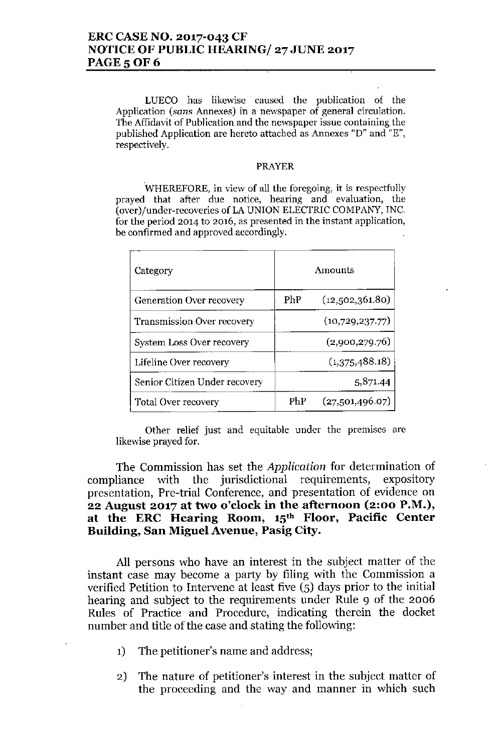# **ERCCASENO. 2017-043 CF NOTICEOF PUBLIC HEARING/27 JUNE 2017 PAGE 5 OF 6**

LUECO has likewise caused the publication of the **Application** *(sans* **Annexes) in a newspaper of general circulation. The Affidavit of Publication and the newspaper issue containing the published Application are hereto attached as Annexes "D" and "E", respectively.**

### PRAYER

**WHEREFORE, in view of all the foregoing, it is respectfully prayed that after due notice, hearing and evaluation, the** (over)/uuder-recoveries of LA UNION ELECTRIC COMPANY, INC. **for the period 2014 to 2016, as presented in the instant application, be confirmed and approved accordingly.**

| Category                          | Amounts |                 |
|-----------------------------------|---------|-----------------|
| <b>Generation Over recovery</b>   | PhP     | (12,502,361.80) |
| <b>Transmission Over recovery</b> |         | (10,729,237.77) |
| System Loss Over recovery         |         | (2,900,279.76)  |
| Lifeline Over recovery            |         | (1,375,488.18)  |
| Senior Citizen Under recovery     |         | 5,871.44        |
| <b>Total Over recovery</b>        | PhP     | (27,501,496.07) |

**Other relief just and equitable under the premIses are** likewise prayed for.

The Commission has set the *Application* for determination of compliance with the jurisdictional requirements, expository presentation, Pre-trial Conference, and presentation of evidence on **22 August 2017 at two o'clock in the afternoon (2:00 P.M.), at the ERC Hearing Room, 15th Floor, Pacific Center Building, San Miguel Avenue, Pasig City.**

**All** persons who have an interest in the subject matter of the instant case may become a party by filing with the Commission a verified Petition to Intervene at least five  $(5)$  days prior to the initial hearing and subject to the requirements under Rule 9 of the 2006 Rules of Practice and Procedure, indicating therein the docket number and title of the case and stating the following:

- 1) The petitioner's name and address;
- 2) The nature of petitioner's interest in the subject matter of the proceeding and the way and manner in which such